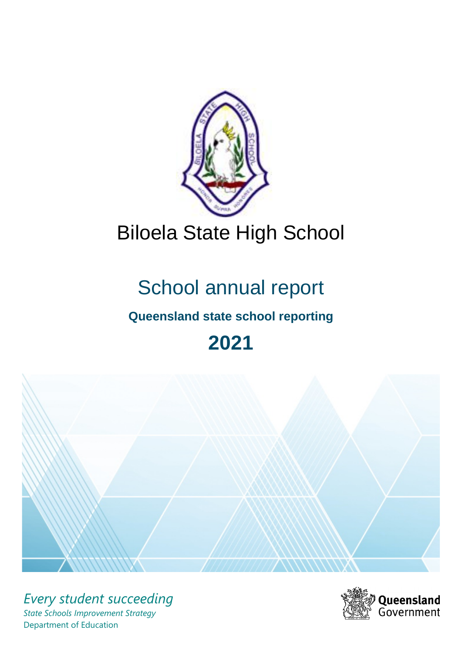

# Biloela State High School

# School annual report

# **Queensland state school reporting**

# **2021**



*Every student succeeding State Schools Improvement Strategy* Department of Education

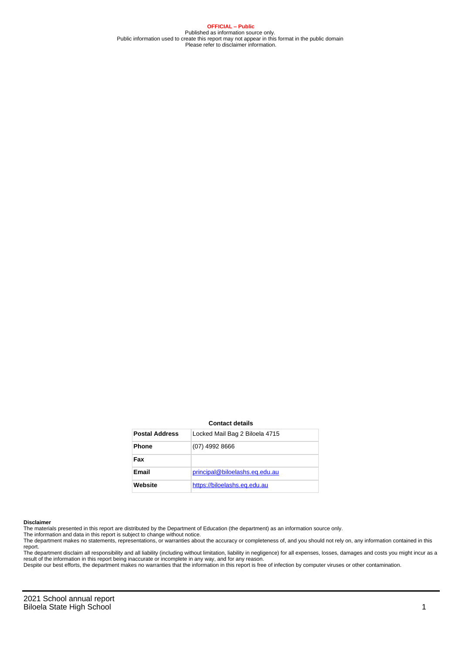**OFFICIAL – Public** Published as information source only. Public information used to create this report may not appear in this format in the public domain Please refer to disclaimer information.

#### **Contact details**

| <b>Postal Address</b> | Locked Mail Bag 2 Biloela 4715 |
|-----------------------|--------------------------------|
| <b>Phone</b>          | $(07)$ 4992 8666               |
| Fax                   |                                |
| Email                 | principal@biloelashs.eq.edu.au |
| Website               | https://biloelashs.eq.edu.au   |

#### **Disclaimer**

The materials presented in this report are distributed by the Department of Education (the department) as an information source only.

The information and data in this report is subject to change without notice.<br>The department makes no statements, representations, or warranties about the accuracy or completeness of, and you should not rely on, any informa report. The department disclaim all responsibility and all liability (including without limitation, liability in negligence) for all expenses, losses, damages and costs you might incur as a

result of the information in this report being inaccurate or incomplete in any way, and for any reason. Despite our best efforts, the department makes no warranties that the information in this report is free of infection by computer viruses or other contamination.

2021 School annual report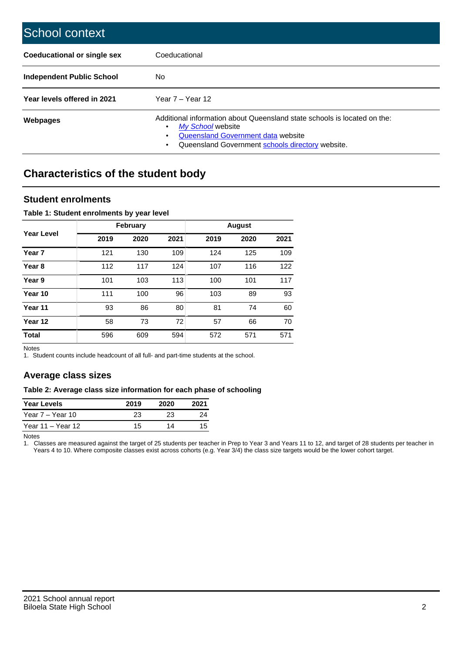| School context                     |                                                                                                                                                                                                   |
|------------------------------------|---------------------------------------------------------------------------------------------------------------------------------------------------------------------------------------------------|
| <b>Coeducational or single sex</b> | Coeducational                                                                                                                                                                                     |
| Independent Public School          | No.                                                                                                                                                                                               |
| Year levels offered in 2021        | Year $7 -$ Year 12                                                                                                                                                                                |
| Webpages                           | Additional information about Queensland state schools is located on the:<br>My School website<br>٠<br>Queensland Government data website<br>Queensland Government schools directory website.<br>٠ |

# **Characteristics of the student body**

## **Student enrolments**

#### **Table 1: Student enrolments by year level**

|                   |      | <b>February</b> |      | <b>August</b> |      |      |  |  |
|-------------------|------|-----------------|------|---------------|------|------|--|--|
| <b>Year Level</b> | 2019 | 2020            | 2021 | 2019          | 2020 | 2021 |  |  |
| Year <sub>7</sub> | 121  | 130             | 109  | 124           | 125  | 109  |  |  |
| Year <sub>8</sub> | 112  | 117             | 124  | 107           | 116  | 122  |  |  |
| Year 9            | 101  | 103             | 113  | 100           | 101  | 117  |  |  |
| Year 10           | 111  | 100             | 96   | 103           | 89   | 93   |  |  |
| Year 11           | 93   | 86              | 80   | 81            | 74   | 60   |  |  |
| Year 12           | 58   | 73              | 72   | 57            | 66   | 70   |  |  |
| <b>Total</b>      | 596  | 609             | 594  | 572           | 571  | 571  |  |  |

Notes

1. Student counts include headcount of all full- and part-time students at the school.

## **Average class sizes**

#### **Table 2: Average class size information for each phase of schooling**

| <b>Year Levels</b> | 2019 | 2020 | 2021 |
|--------------------|------|------|------|
| Year 7 – Year 10   | 23   | 23   | つハ   |
| Year 11 – Year 12  | 15   | 14   |      |

Notes

1. Classes are measured against the target of 25 students per teacher in Prep to Year 3 and Years 11 to 12, and target of 28 students per teacher in Years 4 to 10. Where composite classes exist across cohorts (e.g. Year 3/4) the class size targets would be the lower cohort target.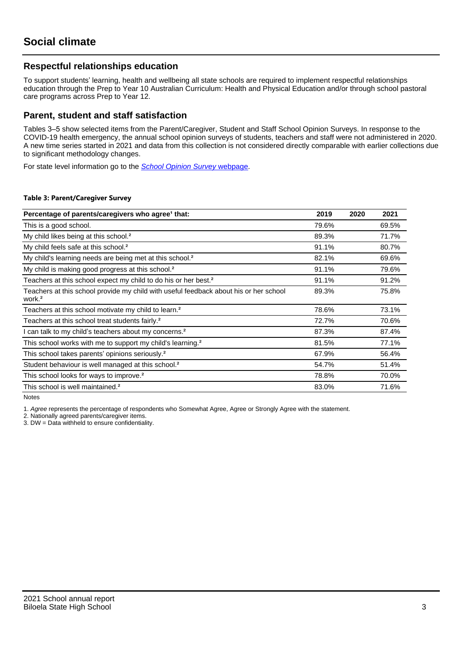## **Respectful relationships education**

To support students' learning, health and wellbeing all state schools are required to implement respectful relationships education through the Prep to Year 10 Australian Curriculum: Health and Physical Education and/or through school pastoral care programs across Prep to Year 12.

## **Parent, student and staff satisfaction**

Tables 3–5 show selected items from the Parent/Caregiver, Student and Staff School Opinion Surveys. In response to the COVID-19 health emergency, the annual school opinion surveys of students, teachers and staff were not administered in 2020. A new time series started in 2021 and data from this collection is not considered directly comparable with earlier collections due to significant methodology changes.

For state level information go to the **[School Opinion Survey](https://qed.qld.gov.au/publications/reports/statistics/schooling/schools/schoolopinionsurvey) webpage**.

#### **Table 3: Parent/Caregiver Survey**

| Percentage of parents/caregivers who agree <sup>1</sup> that:                                               | 2019  | 2020 | 2021  |
|-------------------------------------------------------------------------------------------------------------|-------|------|-------|
| This is a good school.                                                                                      | 79.6% |      | 69.5% |
| My child likes being at this school. <sup>2</sup>                                                           | 89.3% |      | 71.7% |
| My child feels safe at this school. <sup>2</sup>                                                            | 91.1% |      | 80.7% |
| My child's learning needs are being met at this school. <sup>2</sup>                                        | 82.1% |      | 69.6% |
| My child is making good progress at this school. <sup>2</sup>                                               | 91.1% |      | 79.6% |
| Teachers at this school expect my child to do his or her best. <sup>2</sup>                                 | 91.1% |      | 91.2% |
| Teachers at this school provide my child with useful feedback about his or her school<br>work. <sup>2</sup> | 89.3% |      | 75.8% |
| Teachers at this school motivate my child to learn. <sup>2</sup>                                            | 78.6% |      | 73.1% |
| Teachers at this school treat students fairly. <sup>2</sup>                                                 | 72.7% |      | 70.6% |
| can talk to my child's teachers about my concerns. <sup>2</sup>                                             | 87.3% |      | 87.4% |
| This school works with me to support my child's learning. <sup>2</sup>                                      | 81.5% |      | 77.1% |
| This school takes parents' opinions seriously. <sup>2</sup>                                                 | 67.9% |      | 56.4% |
| Student behaviour is well managed at this school. <sup>2</sup>                                              | 54.7% |      | 51.4% |
| This school looks for ways to improve. <sup>2</sup>                                                         | 78.8% |      | 70.0% |
| This school is well maintained. <sup>2</sup>                                                                | 83.0% |      | 71.6% |

Notes

1. Agree represents the percentage of respondents who Somewhat Agree, Agree or Strongly Agree with the statement.

2. Nationally agreed parents/caregiver items.

3. DW = Data withheld to ensure confidentiality.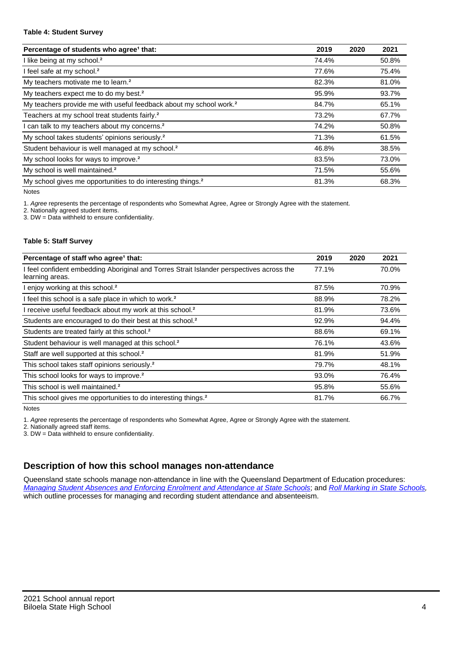#### **Table 4: Student Survey**

| Percentage of students who agree <sup>1</sup> that:                            | 2019  | 2020 | 2021  |
|--------------------------------------------------------------------------------|-------|------|-------|
| I like being at my school. <sup>2</sup>                                        | 74.4% |      | 50.8% |
| I feel safe at my school. <sup>2</sup>                                         | 77.6% |      | 75.4% |
| My teachers motivate me to learn. <sup>2</sup>                                 | 82.3% |      | 81.0% |
| My teachers expect me to do my best. <sup>2</sup>                              | 95.9% |      | 93.7% |
| My teachers provide me with useful feedback about my school work. <sup>2</sup> | 84.7% |      | 65.1% |
| Teachers at my school treat students fairly. <sup>2</sup>                      | 73.2% |      | 67.7% |
| I can talk to my teachers about my concerns. <sup>2</sup>                      | 74.2% |      | 50.8% |
| My school takes students' opinions seriously. <sup>2</sup>                     | 71.3% |      | 61.5% |
| Student behaviour is well managed at my school. <sup>2</sup>                   | 46.8% |      | 38.5% |
| My school looks for ways to improve. <sup>2</sup>                              | 83.5% |      | 73.0% |
| My school is well maintained. <sup>2</sup>                                     | 71.5% |      | 55.6% |
| My school gives me opportunities to do interesting things. <sup>2</sup>        | 81.3% |      | 68.3% |

Notes

1. Agree represents the percentage of respondents who Somewhat Agree, Agree or Strongly Agree with the statement.

2. Nationally agreed student items.

3. DW = Data withheld to ensure confidentiality.

#### **Table 5: Staff Survey**

| Percentage of staff who agree <sup>1</sup> that:                                                            | 2019  | 2020 | 2021  |
|-------------------------------------------------------------------------------------------------------------|-------|------|-------|
| I feel confident embedding Aboriginal and Torres Strait Islander perspectives across the<br>learning areas. | 77.1% |      | 70.0% |
| I enjoy working at this school. <sup>2</sup>                                                                | 87.5% |      | 70.9% |
| I feel this school is a safe place in which to work. <sup>2</sup>                                           | 88.9% |      | 78.2% |
| I receive useful feedback about my work at this school. <sup>2</sup>                                        | 81.9% |      | 73.6% |
| Students are encouraged to do their best at this school. <sup>2</sup>                                       | 92.9% |      | 94.4% |
| Students are treated fairly at this school. <sup>2</sup>                                                    | 88.6% |      | 69.1% |
| Student behaviour is well managed at this school. <sup>2</sup>                                              | 76.1% |      | 43.6% |
| Staff are well supported at this school. <sup>2</sup>                                                       | 81.9% |      | 51.9% |
| This school takes staff opinions seriously. <sup>2</sup>                                                    | 79.7% |      | 48.1% |
| This school looks for ways to improve. <sup>2</sup>                                                         | 93.0% |      | 76.4% |
| This school is well maintained. <sup>2</sup>                                                                | 95.8% |      | 55.6% |
| This school gives me opportunities to do interesting things. <sup>2</sup>                                   | 81.7% |      | 66.7% |

Notes

1. Agree represents the percentage of respondents who Somewhat Agree, Agree or Strongly Agree with the statement.

2. Nationally agreed staff items.

3. DW = Data withheld to ensure confidentiality.

# **Description of how this school manages non-attendance**

Queensland state schools manage non-attendance in line with the Queensland Department of Education procedures: [Managing Student Absences and Enforcing Enrolment and Attendance at State Schools](https://ppr.qed.qld.gov.au/pp/managing-student-absences-and-enforcing-enrolment-and-attendance-at-state-schools-procedure); and [Roll Marking in State Schools,](https://ppr.qed.qld.gov.au/pp/roll-marking-in-state-schools-procedure) which outline processes for managing and recording student attendance and absenteeism.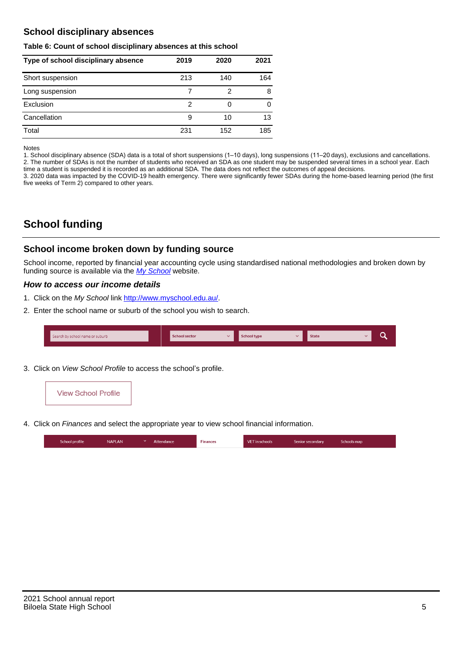## **School disciplinary absences**

#### **Table 6: Count of school disciplinary absences at this school**

| Type of school disciplinary absence | 2019 | 2020 | 2021 |
|-------------------------------------|------|------|------|
| Short suspension                    | 213  | 140  | 164  |
| Long suspension                     |      | 2    | 8    |
| Exclusion                           | 2    |      |      |
| Cancellation                        | 9    | 10   | 13   |
| Total                               | 231  | 152  | 185  |

Notes

1. School disciplinary absence (SDA) data is a total of short suspensions (1–10 days), long suspensions (11–20 days), exclusions and cancellations. 2. The number of SDAs is not the number of students who received an SDA as one student may be suspended several times in a school year. Each time a student is suspended it is recorded as an additional SDA. The data does not reflect the outcomes of appeal decisions.

3. 2020 data was impacted by the COVID-19 health emergency. There were significantly fewer SDAs during the home-based learning period (the first five weeks of Term 2) compared to other years.

# **School funding**

## **School income broken down by funding source**

School income, reported by financial year accounting cycle using standardised national methodologies and broken down by funding source is available via the [My School](http://www.myschool.edu.au/) website.

### **How to access our income details**

- 1. Click on the My School link <http://www.myschool.edu.au/>.
- 2. Enter the school name or suburb of the school you wish to search.

| Search by school name or suburb | <b>School sector</b> | School type | <b>State</b> |  |
|---------------------------------|----------------------|-------------|--------------|--|
|                                 |                      |             |              |  |

3. Click on View School Profile to access the school's profile.



4. Click on Finances and select the appropriate year to view school financial information.

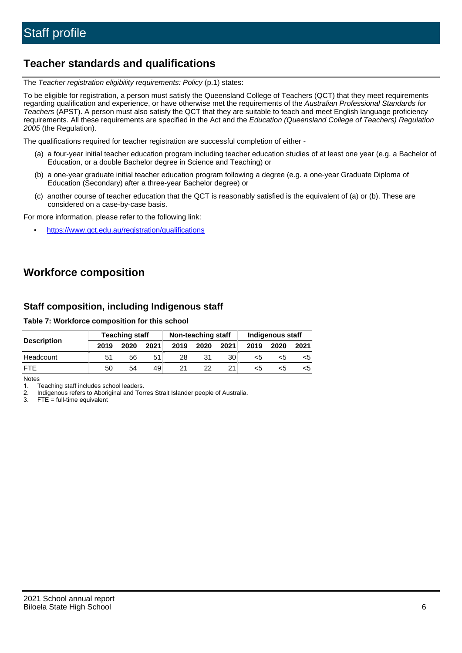# **Teacher standards and qualifications**

The Teacher registration eligibility requirements: Policy (p.1) states:

To be eligible for registration, a person must satisfy the Queensland College of Teachers (QCT) that they meet requirements regarding qualification and experience, or have otherwise met the requirements of the Australian Professional Standards for Teachers (APST). A person must also satisfy the QCT that they are suitable to teach and meet English language proficiency requirements. All these requirements are specified in the Act and the Education (Queensland College of Teachers) Regulation 2005 (the Regulation).

The qualifications required for teacher registration are successful completion of either -

- (a) a four-year initial teacher education program including teacher education studies of at least one year (e.g. a Bachelor of Education, or a double Bachelor degree in Science and Teaching) or
- (b) a one-year graduate initial teacher education program following a degree (e.g. a one-year Graduate Diploma of Education (Secondary) after a three-year Bachelor degree) or
- (c) another course of teacher education that the QCT is reasonably satisfied is the equivalent of (a) or (b). These are considered on a case-by-case basis.

For more information, please refer to the following link:

• <https://www.qct.edu.au/registration/qualifications>

# **Workforce composition**

## **Staff composition, including Indigenous staff**

#### **Table 7: Workforce composition for this school**

|                    | <b>Teaching staff</b> |      |      | Non-teaching staff |      |      | Indigenous staff |      |      |
|--------------------|-----------------------|------|------|--------------------|------|------|------------------|------|------|
| <b>Description</b> | 2019                  | 2020 | 2021 | 2019               | 2020 | 2021 | 2019             | 2020 | 2021 |
| Headcount          | 51                    | 56   | 51   | 28                 | 31   | 30   | <5               | כ>   |      |
| <b>FTF</b>         | 50                    | 54   | 49   |                    | 22.  |      | <5               | ה>   |      |

Notes

1. Teaching staff includes school leaders.

2. Indigenous refers to Aboriginal and Torres Strait Islander people of Australia.

3. FTE = full-time equivalent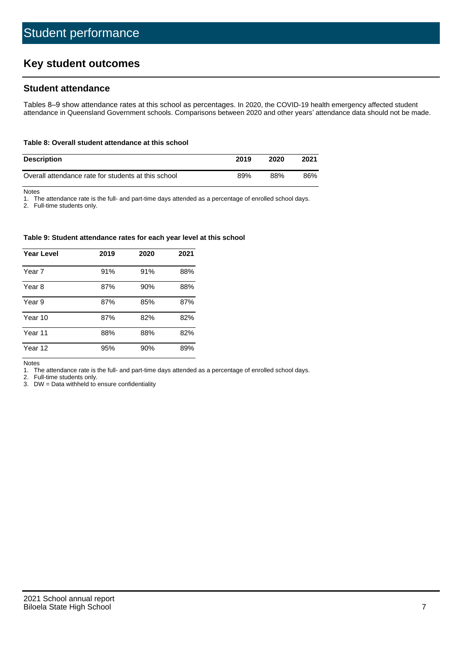# **Key student outcomes**

## **Student attendance**

Tables 8–9 show attendance rates at this school as percentages. In 2020, the COVID-19 health emergency affected student attendance in Queensland Government schools. Comparisons between 2020 and other years' attendance data should not be made.

#### **Table 8: Overall student attendance at this school**

| <b>Description</b>                                  | 2019 | 2020 | 2021 |
|-----------------------------------------------------|------|------|------|
| Overall attendance rate for students at this school | 89%  | 88%  | 86%  |

Notes

1. The attendance rate is the full- and part-time days attended as a percentage of enrolled school days.

2. Full-time students only.

#### **Table 9: Student attendance rates for each year level at this school**

| <b>Year Level</b> | 2019 | 2020 | 2021 |
|-------------------|------|------|------|
| Year 7            | 91%  | 91%  | 88%  |
| Year 8            | 87%  | 90%  | 88%  |
| Year 9            | 87%  | 85%  | 87%  |
| Year 10           | 87%  | 82%  | 82%  |
| Year 11           | 88%  | 88%  | 82%  |
| Year 12           | 95%  | 90%  | 89%  |

Notes

1. The attendance rate is the full- and part-time days attended as a percentage of enrolled school days.

2. Full-time students only.

3. DW = Data withheld to ensure confidentiality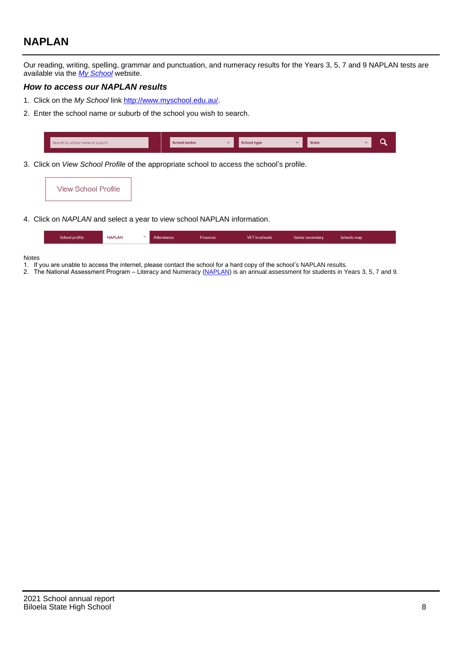# **NAPLAN**

Our reading, writing, spelling, grammar and punctuation, and numeracy results for the Years 3, 5, 7 and 9 NAPLAN tests are available via the [My School](http://www.myschool.edu.au/) website.

### **How to access our NAPLAN results**

- 1. Click on the My School link <http://www.myschool.edu.au/>.
- 2. Enter the school name or suburb of the school you wish to search.

| Search by school name or suburb | <b>School sector</b> | <b>School type</b>                        |          | <b>State</b> |  |
|---------------------------------|----------------------|-------------------------------------------|----------|--------------|--|
|                                 |                      |                                           |          |              |  |
|                                 |                      | $\sim$ $\sim$ $\sim$ $\sim$ $\sim$ $\sim$ | $\cdots$ |              |  |

3. Click on View School Profile of the appropriate school to access the school's profile.

| <b>View School Profile</b> |
|----------------------------|
|----------------------------|

4. Click on NAPLAN and select a year to view school NAPLAN information.

|  | School profile | <b>NAPLAN</b><br>$\sim$ 1 | Attendance | <b>Finances</b> | <b>VET</b> in schools | Senior secondary | Schools map |
|--|----------------|---------------------------|------------|-----------------|-----------------------|------------------|-------------|
|--|----------------|---------------------------|------------|-----------------|-----------------------|------------------|-------------|

#### Notes

- 1. If you are unable to access the internet, please contact the school for a hard copy of the school's NAPLAN results.
- 2. The National Assessment Program Literacy and Numeracy ([NAPLAN\)](http://www.nap.edu.au/naplan) is an annual assessment for students in Years 3, 5, 7 and 9.